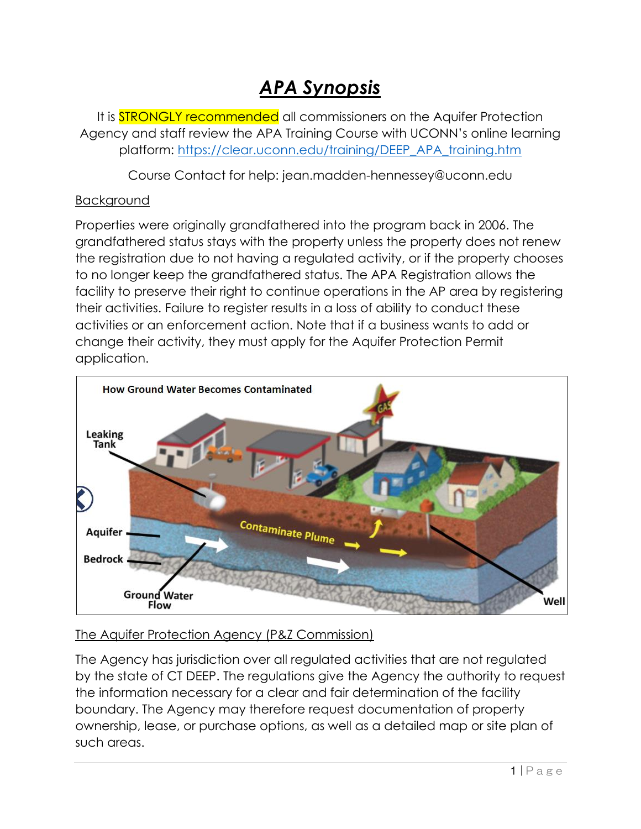# *APA Synopsis*

It is **STRONGLY recommended** all commissioners on the Aquifer Protection Agency and staff review the APA Training Course with UCONN's online learning platform: [https://clear.uconn.edu/training/DEEP\\_APA\\_training.htm](https://nam12.safelinks.protection.outlook.com/?url=https%3A%2F%2Fclear.uconn.edu%2Ftraining%2FDEEP_APA_training.htm&data=04%7C01%7Cgdriver%40enfield.org%7C0aaa2ebf306e4338b0f008d971f46159%7C088b3fd5883b40dcb48435805988ad4f%7C0%7C0%7C637666116699858819%7CUnknown%7CTWFpbGZsb3d8eyJWIjoiMC4wLjAwMDAiLCJQIjoiV2luMzIiLCJBTiI6Ik1haWwiLCJXVCI6Mn0%3D%7C1000&sdata=Upq2Yogenwcz49JXyIBVEeC8tpmOrs7bHe2A2Xzvcgo%3D&reserved=0)

Course Contact for help: jean.madden-hennessey@uconn.edu

### Background

Properties were originally grandfathered into the program back in 2006. The grandfathered status stays with the property unless the property does not renew the registration due to not having a regulated activity, or if the property chooses to no longer keep the grandfathered status. The APA Registration allows the facility to preserve their right to continue operations in the AP area by registering their activities. Failure to register results in a loss of ability to conduct these activities or an enforcement action. Note that if a business wants to add or change their activity, they must apply for the Aquifer Protection Permit application.



# The Aquifer Protection Agency (P&Z Commission)

The Agency has jurisdiction over all regulated activities that are not regulated by the state of CT DEEP. The regulations give the Agency the authority to request the information necessary for a clear and fair determination of the facility boundary. The Agency may therefore request documentation of property ownership, lease, or purchase options, as well as a detailed map or site plan of such areas.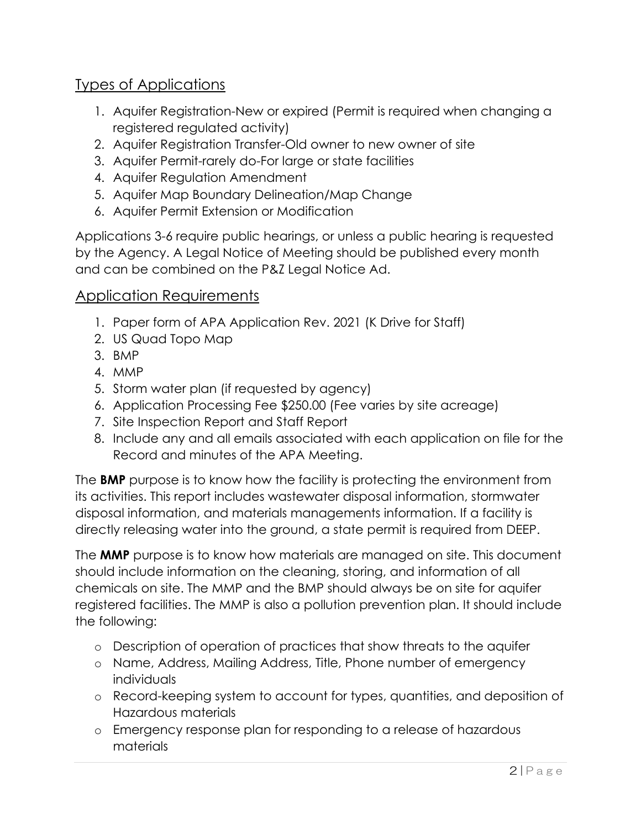# Types of Applications

- 1. Aquifer Registration-New or expired (Permit is required when changing a registered regulated activity)
- 2. Aquifer Registration Transfer-Old owner to new owner of site
- 3. Aquifer Permit-rarely do-For large or state facilities
- 4. Aquifer Regulation Amendment
- 5. Aquifer Map Boundary Delineation/Map Change
- 6. Aquifer Permit Extension or Modification

Applications 3-6 require public hearings, or unless a public hearing is requested by the Agency. A Legal Notice of Meeting should be published every month and can be combined on the P&Z Legal Notice Ad.

## Application Requirements

- 1. Paper form of APA Application Rev. 2021 (K Drive for Staff)
- 2. US Quad Topo Map
- 3. BMP
- 4. MMP
- 5. Storm water plan (if requested by agency)
- 6. Application Processing Fee \$250.00 (Fee varies by site acreage)
- 7. Site Inspection Report and Staff Report
- 8. Include any and all emails associated with each application on file for the Record and minutes of the APA Meeting.

The **BMP** purpose is to know how the facility is protecting the environment from its activities. This report includes wastewater disposal information, stormwater disposal information, and materials managements information. If a facility is directly releasing water into the ground, a state permit is required from DEEP.

The **MMP** purpose is to know how materials are managed on site. This document should include information on the cleaning, storing, and information of all chemicals on site. The MMP and the BMP should always be on site for aquifer registered facilities. The MMP is also a pollution prevention plan. It should include the following:

- o Description of operation of practices that show threats to the aquifer
- o Name, Address, Mailing Address, Title, Phone number of emergency individuals
- o Record-keeping system to account for types, quantities, and deposition of Hazardous materials
- o Emergency response plan for responding to a release of hazardous materials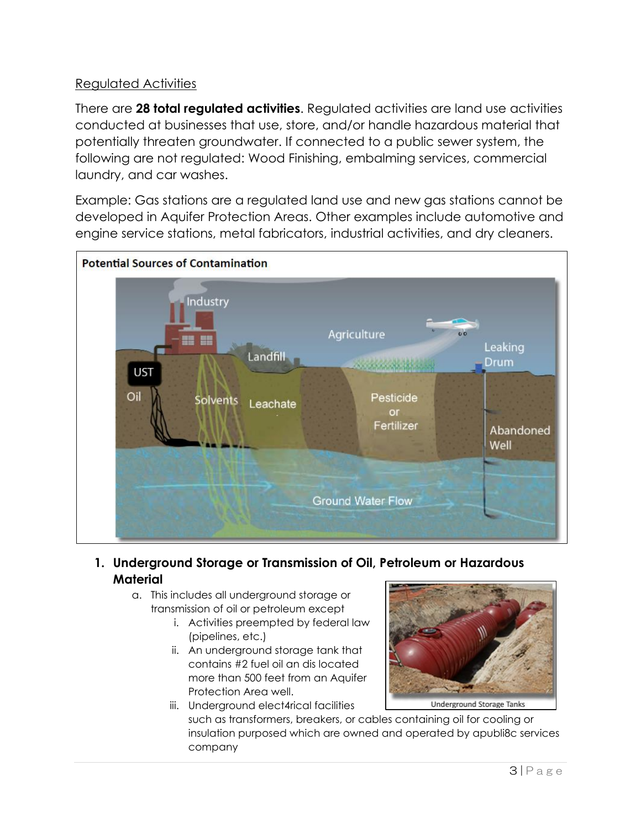### Regulated Activities

There are **28 total regulated activities**. Regulated activities are land use activities conducted at businesses that use, store, and/or handle hazardous material that potentially threaten groundwater. If connected to a public sewer system, the following are not regulated: Wood Finishing, embalming services, commercial laundry, and car washes.

Example: Gas stations are a regulated land use and new gas stations cannot be developed in Aquifer Protection Areas. Other examples include automotive and engine service stations, metal fabricators, industrial activities, and dry cleaners.



- **1. Underground Storage or Transmission of Oil, Petroleum or Hazardous Material**
	- a. This includes all underground storage or transmission of oil or petroleum except
		- i. Activities preempted by federal law (pipelines, etc.)
		- ii. An underground storage tank that contains #2 fuel oil an dis located more than 500 feet from an Aquifer Protection Area well.



iii. Underground elect4rical facilities

such as transformers, breakers, or cables containing oil for cooling or insulation purposed which are owned and operated by apubli8c services company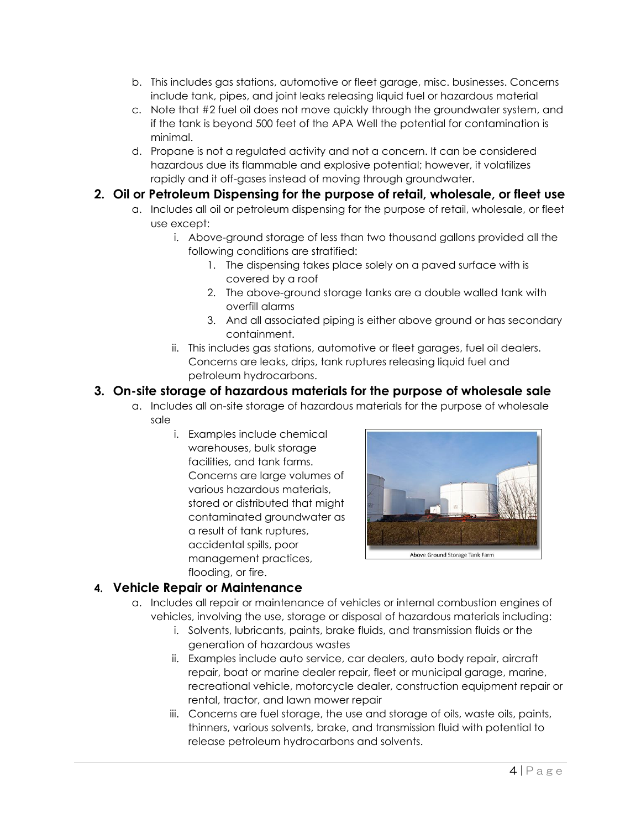- b. This includes gas stations, automotive or fleet garage, misc. businesses. Concerns include tank, pipes, and joint leaks releasing liquid fuel or hazardous material
- c. Note that #2 fuel oil does not move quickly through the groundwater system, and if the tank is beyond 500 feet of the APA Well the potential for contamination is minimal.
- d. Propane is not a regulated activity and not a concern. It can be considered hazardous due its flammable and explosive potential; however, it volatilizes rapidly and it off-gases instead of moving through groundwater.

#### **2. Oil or Petroleum Dispensing for the purpose of retail, wholesale, or fleet use**

- a. Includes all oil or petroleum dispensing for the purpose of retail, wholesale, or fleet use except:
	- i. Above-ground storage of less than two thousand gallons provided all the following conditions are stratified:
		- 1. The dispensing takes place solely on a paved surface with is covered by a roof
		- 2. The above-ground storage tanks are a double walled tank with overfill alarms
		- 3. And all associated piping is either above ground or has secondary containment.
	- ii. This includes gas stations, automotive or fleet garages, fuel oil dealers. Concerns are leaks, drips, tank ruptures releasing liquid fuel and petroleum hydrocarbons.

### **3. On-site storage of hazardous materials for the purpose of wholesale sale**

- a. Includes all on-site storage of hazardous materials for the purpose of wholesale sale
	- i. Examples include chemical warehouses, bulk storage facilities, and tank farms. Concerns are large volumes of various hazardous materials, stored or distributed that might contaminated groundwater as a result of tank ruptures, accidental spills, poor management practices, flooding, or fire.



### **4. Vehicle Repair or Maintenance**

- a. Includes all repair or maintenance of vehicles or internal combustion engines of vehicles, involving the use, storage or disposal of hazardous materials including:
	- i. Solvents, lubricants, paints, brake fluids, and transmission fluids or the generation of hazardous wastes
	- ii. Examples include auto service, car dealers, auto body repair, aircraft repair, boat or marine dealer repair, fleet or municipal garage, marine, recreational vehicle, motorcycle dealer, construction equipment repair or rental, tractor, and lawn mower repair
	- iii. Concerns are fuel storage, the use and storage of oils, waste oils, paints, thinners, various solvents, brake, and transmission fluid with potential to release petroleum hydrocarbons and solvents.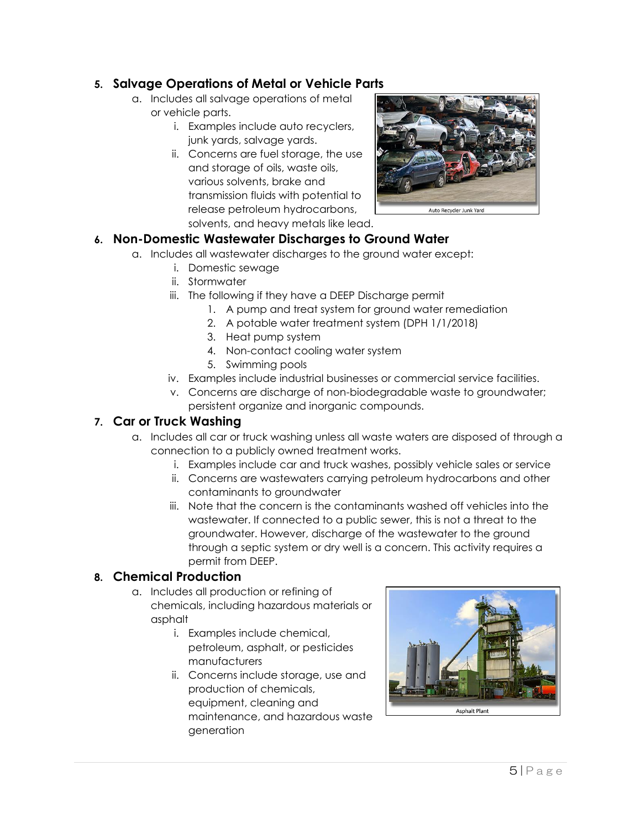### **5. Salvage Operations of Metal or Vehicle Parts**

- a. Includes all salvage operations of metal or vehicle parts.
	- i. Examples include auto recyclers, junk yards, salvage yards.
	- ii. Concerns are fuel storage, the use and storage of oils, waste oils, various solvents, brake and transmission fluids with potential to release petroleum hydrocarbons, solvents, and heavy metals like lead.



### **6. Non-Domestic Wastewater Discharges to Ground Water**

- a. Includes all wastewater discharges to the ground water except:
	- i. Domestic sewage
	- ii. Stormwater
	- iii. The following if they have a DEEP Discharge permit
		- 1. A pump and treat system for ground water remediation
		- 2. A potable water treatment system (DPH 1/1/2018)
		- 3. Heat pump system
		- 4. Non-contact cooling water system
		- 5. Swimming pools
	- iv. Examples include industrial businesses or commercial service facilities.
	- v. Concerns are discharge of non-biodegradable waste to groundwater; persistent organize and inorganic compounds.

### **7. Car or Truck Washing**

- a. Includes all car or truck washing unless all waste waters are disposed of through a connection to a publicly owned treatment works.
	- i. Examples include car and truck washes, possibly vehicle sales or service
	- ii. Concerns are wastewaters carrying petroleum hydrocarbons and other contaminants to groundwater
	- iii. Note that the concern is the contaminants washed off vehicles into the wastewater. If connected to a public sewer, this is not a threat to the groundwater. However, discharge of the wastewater to the ground through a septic system or dry well is a concern. This activity requires a permit from DEEP.

### **8. Chemical Production**

- a. Includes all production or refining of chemicals, including hazardous materials or asphalt
	- i. Examples include chemical, petroleum, asphalt, or pesticides manufacturers
	- ii. Concerns include storage, use and production of chemicals, equipment, cleaning and maintenance, and hazardous waste generation

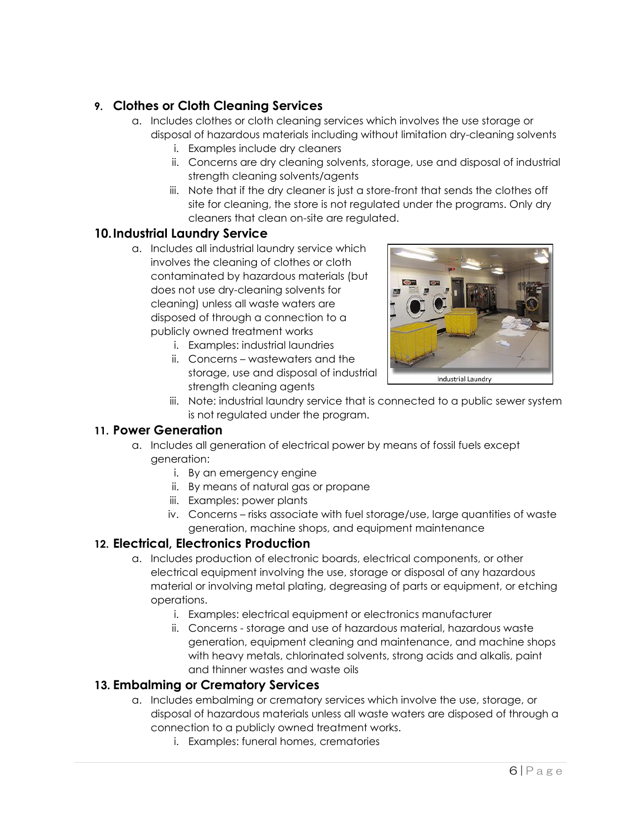### **9. Clothes or Cloth Cleaning Services**

- a. Includes clothes or cloth cleaning services which involves the use storage or disposal of hazardous materials including without limitation dry-cleaning solvents
	- i. Examples include dry cleaners
		- ii. Concerns are dry cleaning solvents, storage, use and disposal of industrial strength cleaning solvents/agents
	- iii. Note that if the dry cleaner is just a store-front that sends the clothes off site for cleaning, the store is not regulated under the programs. Only dry cleaners that clean on-site are regulated.

#### **10.Industrial Laundry Service**

- a. Includes all industrial laundry service which involves the cleaning of clothes or cloth contaminated by hazardous materials (but does not use dry-cleaning solvents for cleaning) unless all waste waters are disposed of through a connection to a publicly owned treatment works
	- i. Examples: industrial laundries
	- ii. Concerns wastewaters and the storage, use and disposal of industrial strength cleaning agents



iii. Note: industrial laundry service that is connected to a public sewer system is not regulated under the program.

#### **11. Power Generation**

- a. Includes all generation of electrical power by means of fossil fuels except generation:
	- i. By an emergency engine
	- ii. By means of natural gas or propane
	- iii. Examples: power plants
	- iv. Concerns risks associate with fuel storage/use, large quantities of waste generation, machine shops, and equipment maintenance

### **12. Electrical, Electronics Production**

- a. Includes production of electronic boards, electrical components, or other electrical equipment involving the use, storage or disposal of any hazardous material or involving metal plating, degreasing of parts or equipment, or etching operations.
	- i. Examples: electrical equipment or electronics manufacturer
	- ii. Concerns storage and use of hazardous material, hazardous waste generation, equipment cleaning and maintenance, and machine shops with heavy metals, chlorinated solvents, strong acids and alkalis, paint and thinner wastes and waste oils

### **13. Embalming or Crematory Services**

- a. Includes embalming or crematory services which involve the use, storage, or disposal of hazardous materials unless all waste waters are disposed of through a connection to a publicly owned treatment works.
	- i. Examples: funeral homes, crematories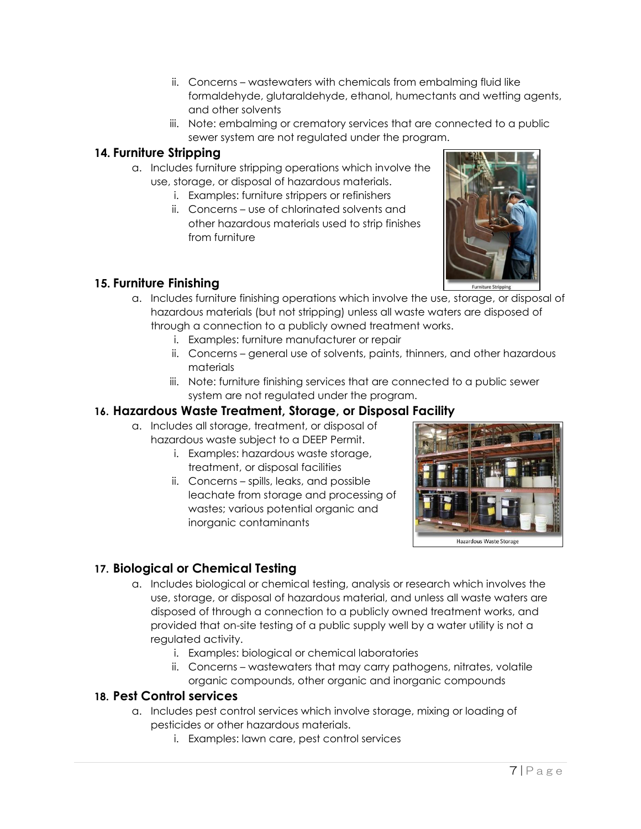- ii. Concerns wastewaters with chemicals from embalming fluid like formaldehyde, glutaraldehyde, ethanol, humectants and wetting agents, and other solvents
- iii. Note: embalming or crematory services that are connected to a public sewer system are not regulated under the program.

#### **14. Furniture Stripping**

- a. Includes furniture stripping operations which involve the use, storage, or disposal of hazardous materials.
	- i. Examples: furniture strippers or refinishers
	- ii. Concerns use of chlorinated solvents and other hazardous materials used to strip finishes from furniture



### **15. Furniture Finishing**

- a. Includes furniture finishing operations which involve the use, storage, or disposal of hazardous materials (but not stripping) unless all waste waters are disposed of through a connection to a publicly owned treatment works.
	- i. Examples: furniture manufacturer or repair
	- ii. Concerns general use of solvents, paints, thinners, and other hazardous materials
	- iii. Note: furniture finishing services that are connected to a public sewer system are not regulated under the program.

### **16. Hazardous Waste Treatment, Storage, or Disposal Facility**

- a. Includes all storage, treatment, or disposal of hazardous waste subject to a DEEP Permit.
	- i. Examples: hazardous waste storage, treatment, or disposal facilities
	- ii. Concerns spills, leaks, and possible leachate from storage and processing of wastes; various potential organic and inorganic contaminants



### **17. Biological or Chemical Testing**

- a. Includes biological or chemical testing, analysis or research which involves the use, storage, or disposal of hazardous material, and unless all waste waters are disposed of through a connection to a publicly owned treatment works, and provided that on-site testing of a public supply well by a water utility is not a regulated activity.
	- i. Examples: biological or chemical laboratories
	- ii. Concerns wastewaters that may carry pathogens, nitrates, volatile organic compounds, other organic and inorganic compounds

#### **18. Pest Control services**

- a. Includes pest control services which involve storage, mixing or loading of pesticides or other hazardous materials.
	- i. Examples: lawn care, pest control services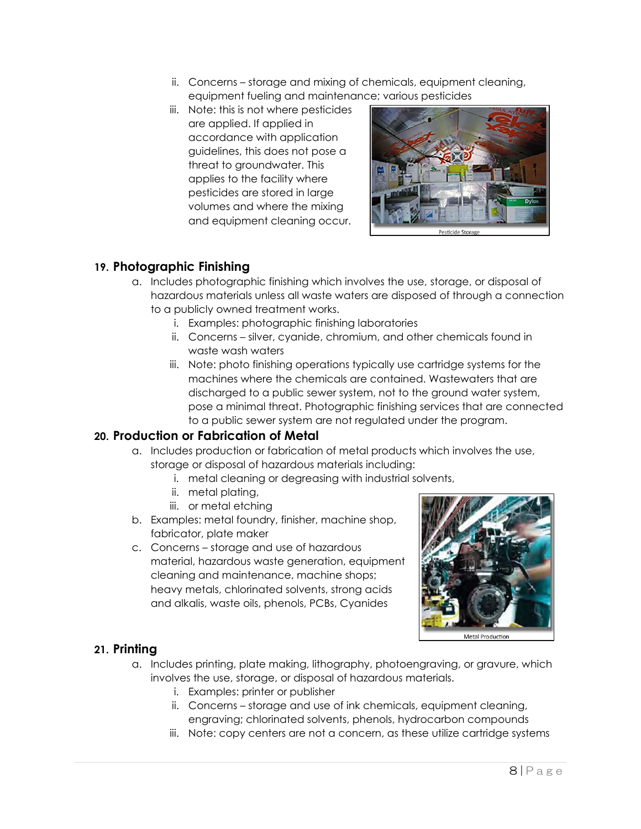- ii. Concerns storage and mixing of chemicals, equipment cleaning, equipment fueling and maintenance; various pesticides
- iii. Note: this is not where pesticides are applied. If applied in accordance with application guidelines, this does not pose a threat to groundwater. This applies to the facility where pesticides are stored in large volumes and where the mixing and equipment cleaning occur.



#### **19. Photographic Finishing**

- a. Includes photographic finishing which involves the use, storage, or disposal of hazardous materials unless all waste waters are disposed of through a connection to a publicly owned treatment works.
	- i. Examples: photographic finishing laboratories
	- ii. Concerns silver, cyanide, chromium, and other chemicals found in waste wash waters
	- iii. Note: photo finishing operations typically use cartridge systems for the machines where the chemicals are contained. Wastewaters that are discharged to a public sewer system, not to the ground water system, pose a minimal threat. Photographic finishing services that are connected to a public sewer system are not regulated under the program.

#### **20. Production or Fabrication of Metal**

- a. Includes production or fabrication of metal products which involves the use, storage or disposal of hazardous materials including:
	- i. metal cleaning or degreasing with industrial solvents,
	- ii. metal plating,
	- iii. or metal etching
- b. Examples: metal foundry, finisher, machine shop, fabricator, plate maker
- c. Concerns storage and use of hazardous material, hazardous waste generation, equipment cleaning and maintenance, machine shops; heavy metals, chlorinated solvents, strong acids and alkalis, waste oils, phenols, PCBs, Cyanides



#### **21. Printing**

- a. Includes printing, plate making, lithography, photoengraving, or gravure, which involves the use, storage, or disposal of hazardous materials.
	- i. Examples: printer or publisher
	- ii. Concerns storage and use of ink chemicals, equipment cleaning, engraving; chlorinated solvents, phenols, hydrocarbon compounds
	- iii. Note: copy centers are not a concern, as these utilize cartridge systems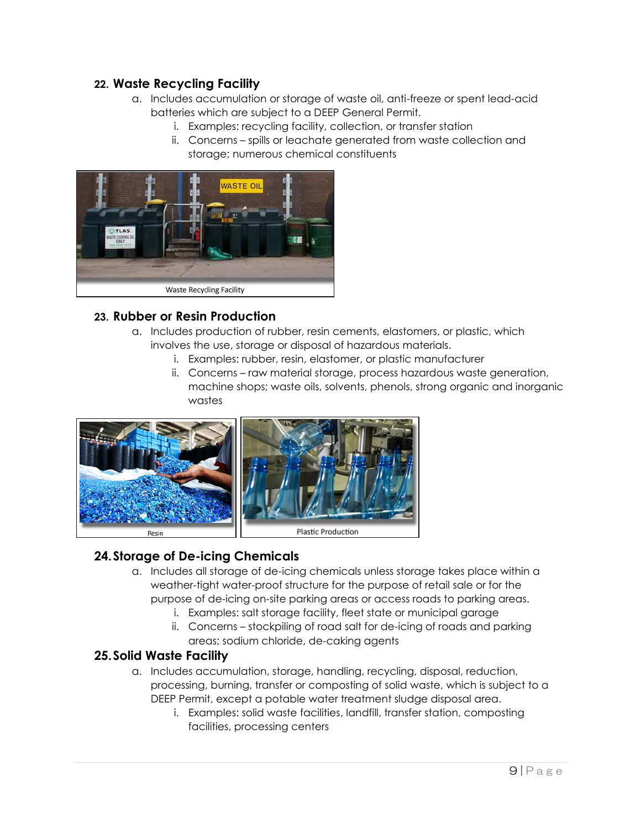#### **22. Waste Recycling Facility**

- a. Includes accumulation or storage of waste oil, anti-freeze or spent lead-acid batteries which are subject to a DEEP General Permit.
	- i. Examples: recycling facility, collection, or transfer station
	- ii. Concerns spills or leachate generated from waste collection and storage; numerous chemical constituents



#### **23. Rubber or Resin Production**

- a. Includes production of rubber, resin cements, elastomers, or plastic, which involves the use, storage or disposal of hazardous materials.
	- i. Examples: rubber, resin, elastomer, or plastic manufacturer
	- ii. Concerns raw material storage, process hazardous waste generation, machine shops; waste oils, solvents, phenols, strong organic and inorganic wastes



### **24.Storage of De-icing Chemicals**

- a. Includes all storage of de-icing chemicals unless storage takes place within a weather-tight water-proof structure for the purpose of retail sale or for the purpose of de-icing on-site parking areas or access roads to parking areas.
	- i. Examples: salt storage facility, fleet state or municipal garage
	- ii. Concerns stockpiling of road salt for de-icing of roads and parking areas; sodium chloride, de-caking agents

### **25.Solid Waste Facility**

- a. Includes accumulation, storage, handling, recycling, disposal, reduction, processing, burning, transfer or composting of solid waste, which is subject to a DEEP Permit, except a potable water treatment sludge disposal area.
	- i. Examples: solid waste facilities, landfill, transfer station, composting facilities, processing centers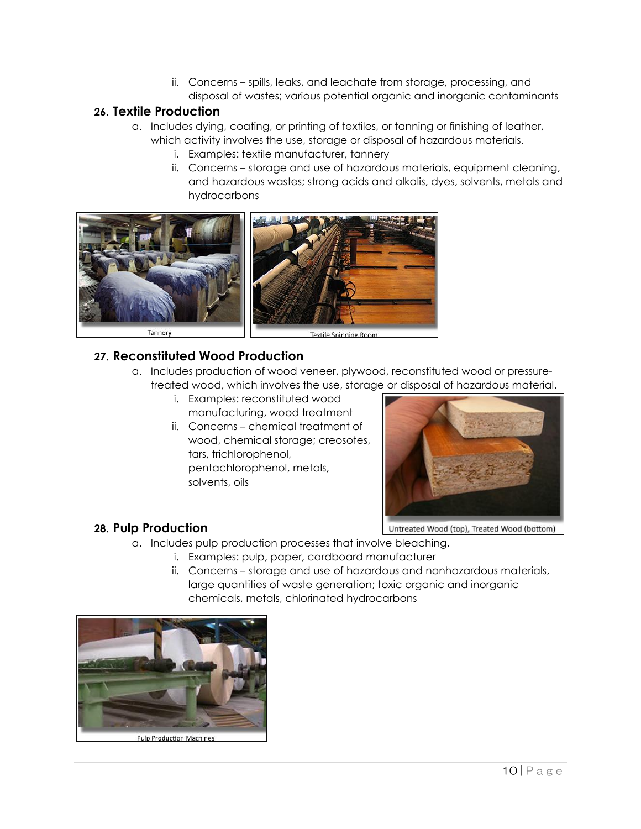ii. Concerns – spills, leaks, and leachate from storage, processing, and disposal of wastes; various potential organic and inorganic contaminants

### **26. Textile Production**

- a. Includes dying, coating, or printing of textiles, or tanning or finishing of leather, which activity involves the use, storage or disposal of hazardous materials.
	- i. Examples: textile manufacturer, tannery
	- ii. Concerns storage and use of hazardous materials, equipment cleaning, and hazardous wastes; strong acids and alkalis, dyes, solvents, metals and hydrocarbons



### **27. Reconstituted Wood Production**

- a. Includes production of wood veneer, plywood, reconstituted wood or pressuretreated wood, which involves the use, storage or disposal of hazardous material.
	- i. Examples: reconstituted wood manufacturing, wood treatment
	- ii. Concerns chemical treatment of wood, chemical storage; creosotes, tars, trichlorophenol, pentachlorophenol, metals, solvents, oils



### **28. Pulp Production**

- a. Includes pulp production processes that involve bleaching.
	- i. Examples: pulp, paper, cardboard manufacturer
	- ii. Concerns storage and use of hazardous and nonhazardous materials, large quantities of waste generation; toxic organic and inorganic chemicals, metals, chlorinated hydrocarbons



**Pulp Production Machines**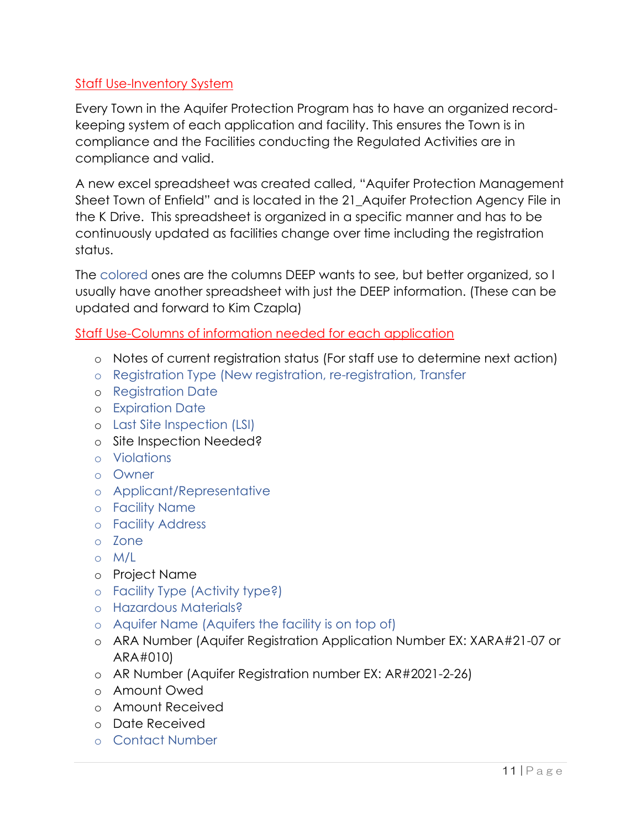### Staff Use-Inventory System

Every Town in the Aquifer Protection Program has to have an organized recordkeeping system of each application and facility. This ensures the Town is in compliance and the Facilities conducting the Regulated Activities are in compliance and valid.

A new excel spreadsheet was created called, "Aquifer Protection Management Sheet Town of Enfield" and is located in the 21\_Aquifer Protection Agency File in the K Drive. This spreadsheet is organized in a specific manner and has to be continuously updated as facilities change over time including the registration status.

The colored ones are the columns DEEP wants to see, but better organized, so I usually have another spreadsheet with just the DEEP information. (These can be updated and forward to Kim Czapla)

Staff Use-Columns of information needed for each application

- o Notes of current registration status (For staff use to determine next action)
- o Registration Type (New registration, re-registration, Transfer
- o Registration Date
- o Expiration Date
- o Last Site Inspection (LSI)
- o Site Inspection Needed?
- o Violations
- o Owner
- o Applicant/Representative
- o Facility Name
- o Facility Address
- o Zone
- o M/L
- o Project Name
- o Facility Type (Activity type?)
- o Hazardous Materials?
- o Aquifer Name (Aquifers the facility is on top of)
- o ARA Number (Aquifer Registration Application Number EX: XARA#21-07 or ARA#010)
- o AR Number (Aquifer Registration number EX: AR#2021-2-26)
- o Amount Owed
- o Amount Received
- o Date Received
- o Contact Number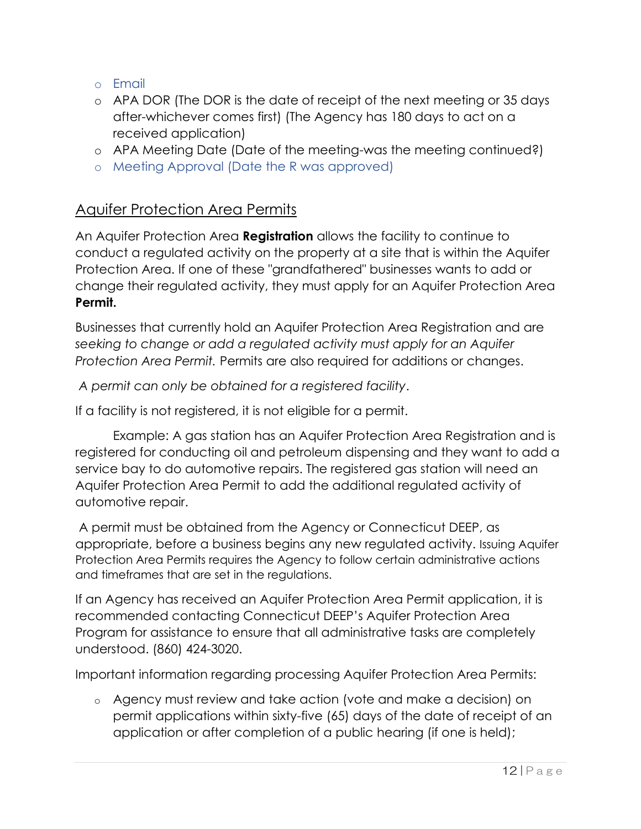- o Email
- o APA DOR (The DOR is the date of receipt of the next meeting or 35 days after-whichever comes first) (The Agency has 180 days to act on a received application)
- o APA Meeting Date (Date of the meeting-was the meeting continued?)
- o Meeting Approval (Date the R was approved)

# Aquifer Protection Area Permits

An Aquifer Protection Area **Registration** allows the facility to continue to conduct a regulated activity on the property at a site that is within the Aquifer Protection Area. If one of these "grandfathered" businesses wants to add or change their regulated activity, they must apply for an Aquifer Protection Area **Permit.**

Businesses that currently hold an Aquifer Protection Area Registration and are *seeking to change or add a regulated activity must apply for an Aquifer Protection Area Permit.* Permits are also required for additions or changes.

*A permit can only be obtained for a registered facility*.

If a facility is not registered, it is not eligible for a permit.

Example: A gas station has an Aquifer Protection Area Registration and is registered for conducting oil and petroleum dispensing and they want to add a service bay to do automotive repairs. The registered gas station will need an Aquifer Protection Area Permit to add the additional regulated activity of automotive repair.

A permit must be obtained from the Agency or Connecticut DEEP, as appropriate, before a business begins any new regulated activity. Issuing Aquifer Protection Area Permits requires the Agency to follow certain administrative actions and timeframes that are set in the regulations.

If an Agency has received an Aquifer Protection Area Permit application, it is recommended contacting Connecticut DEEP's Aquifer Protection Area Program for assistance to ensure that all administrative tasks are completely understood. (860) 424-3020.

Important information regarding processing Aquifer Protection Area Permits:

o Agency must review and take action (vote and make a decision) on permit applications within sixty-five (65) days of the date of receipt of an application or after completion of a public hearing (if one is held);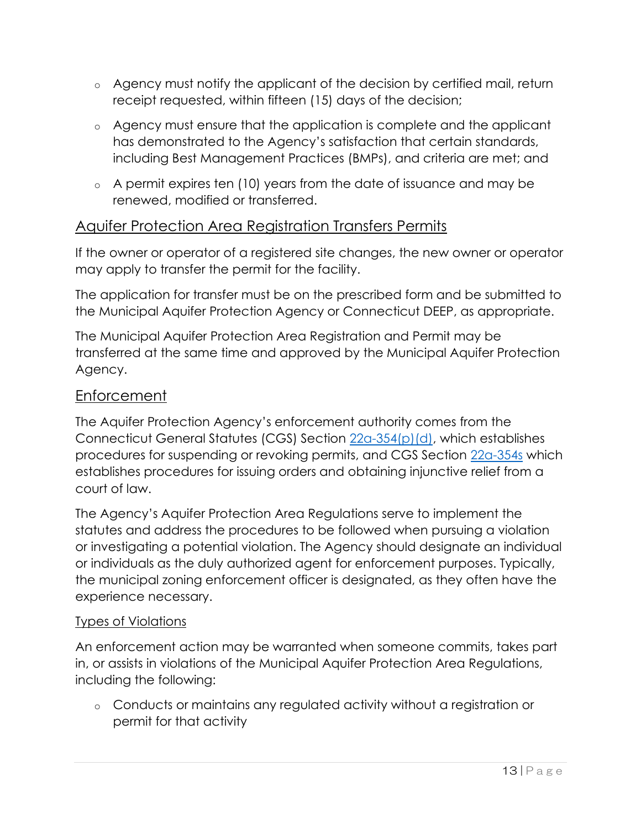- o Agency must notify the applicant of the decision by certified mail, return receipt requested, within fifteen (15) days of the decision;
- o Agency must ensure that the application is complete and the applicant has demonstrated to the Agency's satisfaction that certain standards, including Best Management Practices (BMPs), and criteria are met; and
- o A permit expires ten (10) years from the date of issuance and may be renewed, modified or transferred.

# Aquifer Protection Area Registration Transfers Permits

If the owner or operator of a registered site changes, the new owner or operator may apply to transfer the permit for the facility.

The application for transfer must be on the prescribed form and be submitted to the Municipal Aquifer Protection Agency or Connecticut DEEP, as appropriate.

The Municipal Aquifer Protection Area Registration and Permit may be transferred at the same time and approved by the Municipal Aquifer Protection Agency.

## Enforcement

The Aquifer Protection Agency's enforcement authority comes from the Connecticut General Statutes (CGS) Section [22a-354\(p\)\(d\),](javascript:var%20newWnd=ObjLayerActionGoToNewWindow() which establishes procedures for suspending or revoking permits, and CGS Section [22a-354s](javascript:var%20newWnd=ObjLayerActionGoToNewWindow() which establishes procedures for issuing orders and obtaining injunctive relief from a court of law.

The Agency's Aquifer Protection Area Regulations serve to implement the statutes and address the procedures to be followed when pursuing a violation or investigating a potential violation. The Agency should designate an individual or individuals as the duly authorized agent for enforcement purposes. Typically, the municipal zoning enforcement officer is designated, as they often have the experience necessary.

### Types of Violations

An enforcement action may be warranted when someone commits, takes part in, or assists in violations of the Municipal Aquifer Protection Area Regulations, including the following:

o Conducts or maintains any regulated activity without a registration or permit for that activity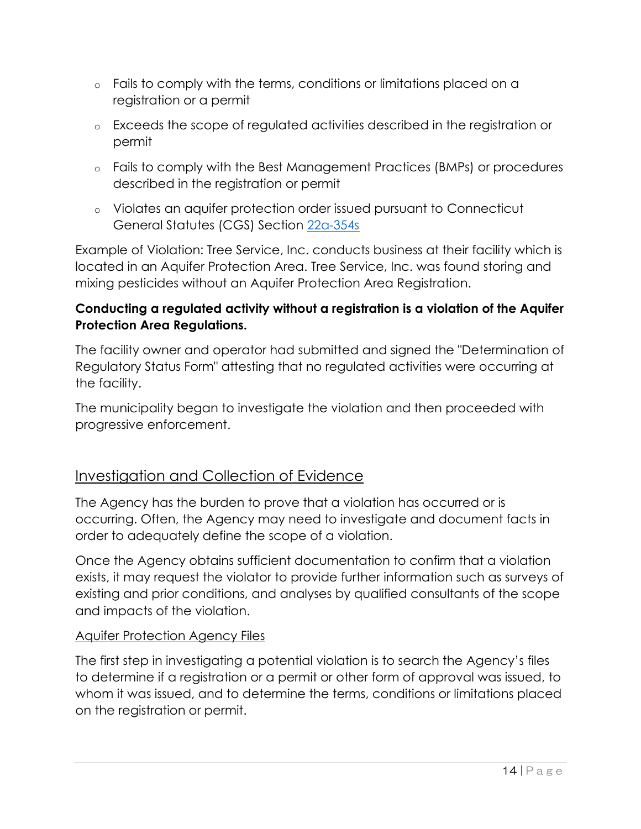- o Fails to comply with the terms, conditions or limitations placed on a registration or a permit
- o Exceeds the scope of regulated activities described in the registration or permit
- o Fails to comply with the Best Management Practices (BMPs) or procedures described in the registration or permit
- o Violates an aquifer protection order issued pursuant to Connecticut General Statutes (CGS) Section [22a-354s](javascript:var%20newWnd=ObjLayerActionGoToNewWindow()

Example of Violation: Tree Service, Inc. conducts business at their facility which is located in an Aquifer Protection Area. Tree Service, Inc. was found storing and mixing pesticides without an Aquifer Protection Area Registration.

## **Conducting a regulated activity without a registration is a violation of the Aquifer Protection Area Regulations.**

The facility owner and operator had submitted and signed the "Determination of Regulatory Status Form" attesting that no regulated activities were occurring at the facility.

The municipality began to investigate the violation and then proceeded with progressive enforcement.

# Investigation and Collection of Evidence

The Agency has the burden to prove that a violation has occurred or is occurring. Often, the Agency may need to investigate and document facts in order to adequately define the scope of a violation.

Once the Agency obtains sufficient documentation to confirm that a violation exists, it may request the violator to provide further information such as surveys of existing and prior conditions, and analyses by qualified consultants of the scope and impacts of the violation.

### Aquifer Protection Agency Files

The first step in investigating a potential violation is to search the Agency's files to determine if a registration or a permit or other form of approval was issued, to whom it was issued, and to determine the terms, conditions or limitations placed on the registration or permit.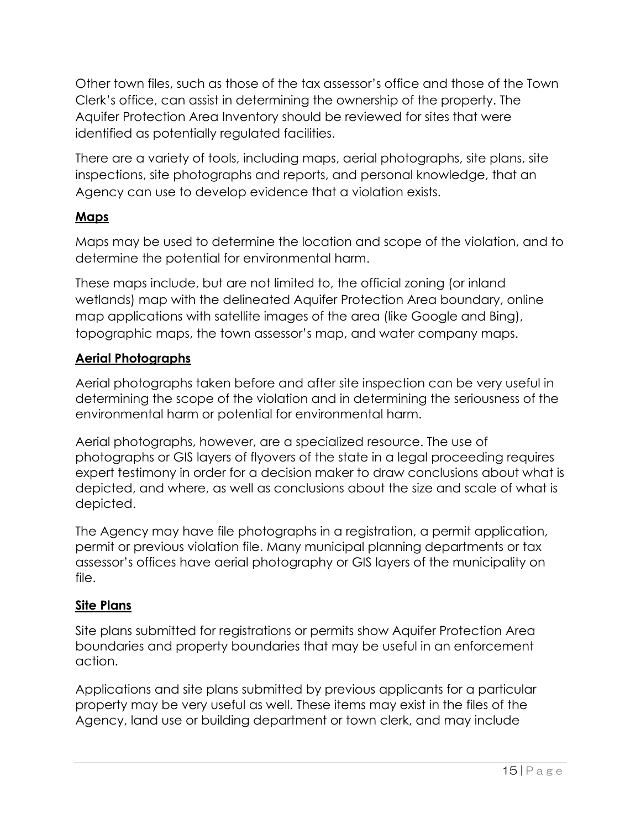Other town files, such as those of the tax assessor's office and those of the Town Clerk's office, can assist in determining the ownership of the property. The Aquifer Protection Area Inventory should be reviewed for sites that were identified as potentially regulated facilities.

There are a variety of tools, including maps, aerial photographs, site plans, site inspections, site photographs and reports, and personal knowledge, that an Agency can use to develop evidence that a violation exists.

## **Maps**

Maps may be used to determine the location and scope of the violation, and to determine the potential for environmental harm.

These maps include, but are not limited to, the official zoning (or inland wetlands) map with the delineated Aquifer Protection Area boundary, online map applications with satellite images of the area (like Google and Bing), topographic maps, the town assessor's map, and water company maps.

## **Aerial Photographs**

Aerial photographs taken before and after site inspection can be very useful in determining the scope of the violation and in determining the seriousness of the environmental harm or potential for environmental harm.

Aerial photographs, however, are a specialized resource. The use of photographs or GIS layers of flyovers of the state in a legal proceeding requires expert testimony in order for a decision maker to draw conclusions about what is depicted, and where, as well as conclusions about the size and scale of what is depicted.

The Agency may have file photographs in a registration, a permit application, permit or previous violation file. Many municipal planning departments or tax assessor's offices have aerial photography or GIS layers of the municipality on file.

### **Site Plans**

Site plans submitted for registrations or permits show Aquifer Protection Area boundaries and property boundaries that may be useful in an enforcement action.

Applications and site plans submitted by previous applicants for a particular property may be very useful as well. These items may exist in the files of the Agency, land use or building department or town clerk, and may include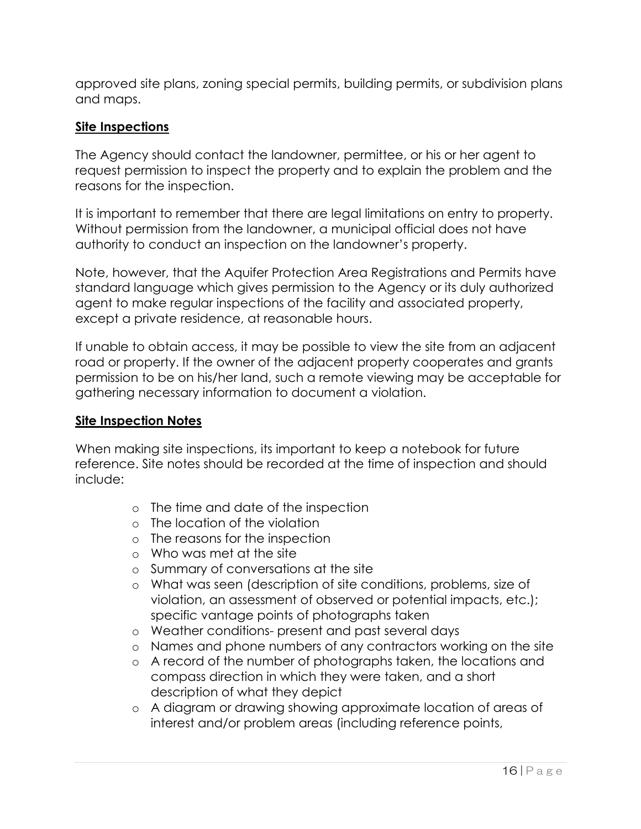approved site plans, zoning special permits, building permits, or subdivision plans and maps.

### **Site Inspections**

The Agency should contact the landowner, permittee, or his or her agent to request permission to inspect the property and to explain the problem and the reasons for the inspection.

It is important to remember that there are legal limitations on entry to property. Without permission from the landowner, a municipal official does not have authority to conduct an inspection on the landowner's property.

Note, however, that the Aquifer Protection Area Registrations and Permits have standard language which gives permission to the Agency or its duly authorized agent to make regular inspections of the facility and associated property, except a private residence, at reasonable hours.

If unable to obtain access, it may be possible to view the site from an adjacent road or property. If the owner of the adjacent property cooperates and grants permission to be on his/her land, such a remote viewing may be acceptable for gathering necessary information to document a violation.

### **Site Inspection Notes**

When making site inspections, its important to keep a notebook for future reference. Site notes should be recorded at the time of inspection and should include:

- o The time and date of the inspection
- o The location of the violation
- o The reasons for the inspection
- o Who was met at the site
- o Summary of conversations at the site
- o What was seen (description of site conditions, problems, size of violation, an assessment of observed or potential impacts, etc.); specific vantage points of photographs taken
- o Weather conditions- present and past several days
- o Names and phone numbers of any contractors working on the site
- o A record of the number of photographs taken, the locations and compass direction in which they were taken, and a short description of what they depict
- o A diagram or drawing showing approximate location of areas of interest and/or problem areas (including reference points,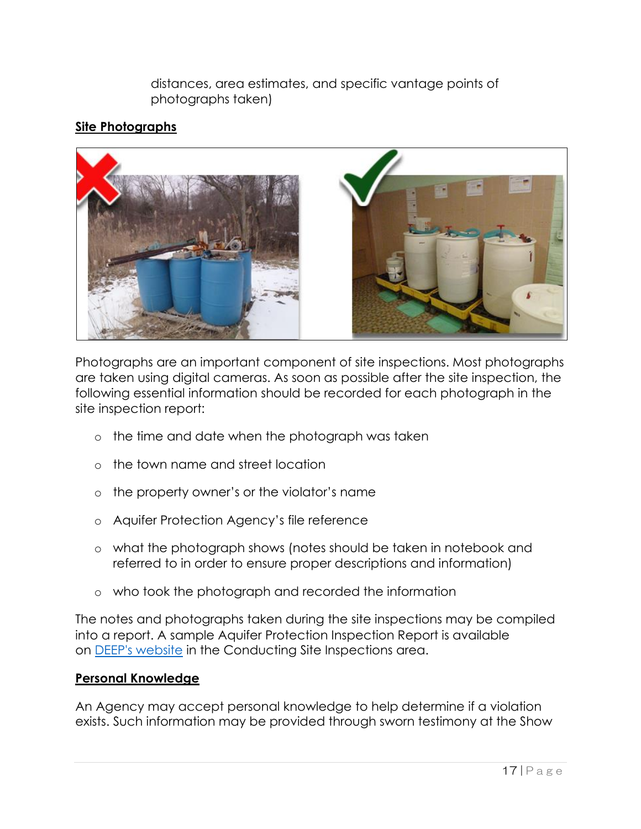distances, area estimates, and specific vantage points of photographs taken)

### **Site Photographs**



Photographs are an important component of site inspections. Most photographs are taken using digital cameras. As soon as possible after the site inspection, the following essential information should be recorded for each photograph in the site inspection report:

- o the time and date when the photograph was taken
- o the town name and street location
- o the property owner's or the violator's name
- o Aquifer Protection Agency's file reference
- o what the photograph shows (notes should be taken in notebook and referred to in order to ensure proper descriptions and information)
- o who took the photograph and recorded the information

The notes and photographs taken during the site inspections may be compiled into a report. A sample Aquifer Protection Inspection Report is available on [DEEP's website](javascript:var%20newWnd=ObjLayerActionGoToNewWindow() in the Conducting Site Inspections area.

### **Personal Knowledge**

An Agency may accept personal knowledge to help determine if a violation exists. Such information may be provided through sworn testimony at the Show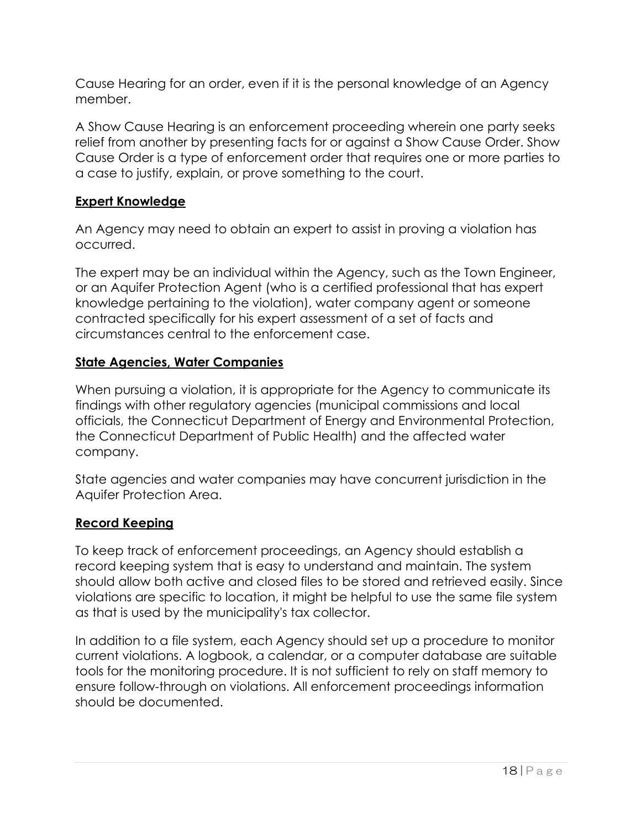Cause Hearing for an order, even if it is the personal knowledge of an Agency member.

A Show Cause Hearing is an enforcement proceeding wherein one party seeks relief from another by presenting facts for or against a Show Cause Order. Show Cause Order is a type of enforcement order that requires one or more parties to a case to justify, explain, or prove something to the court.

### **Expert Knowledge**

An Agency may need to obtain an expert to assist in proving a violation has occurred.

The expert may be an individual within the Agency, such as the Town Engineer, or an Aquifer Protection Agent (who is a certified professional that has expert knowledge pertaining to the violation), water company agent or someone contracted specifically for his expert assessment of a set of facts and circumstances central to the enforcement case.

### **State Agencies, Water Companies**

When pursuing a violation, it is appropriate for the Agency to communicate its findings with other regulatory agencies (municipal commissions and local officials, the Connecticut Department of Energy and Environmental Protection, the Connecticut Department of Public Health) and the affected water company.

State agencies and water companies may have concurrent jurisdiction in the Aquifer Protection Area.

### **Record Keeping**

To keep track of enforcement proceedings, an Agency should establish a record keeping system that is easy to understand and maintain. The system should allow both active and closed files to be stored and retrieved easily. Since violations are specific to location, it might be helpful to use the same file system as that is used by the municipality's tax collector.

In addition to a file system, each Agency should set up a procedure to monitor current violations. A logbook, a calendar, or a computer database are suitable tools for the monitoring procedure. It is not sufficient to rely on staff memory to ensure follow-through on violations. All enforcement proceedings information should be documented.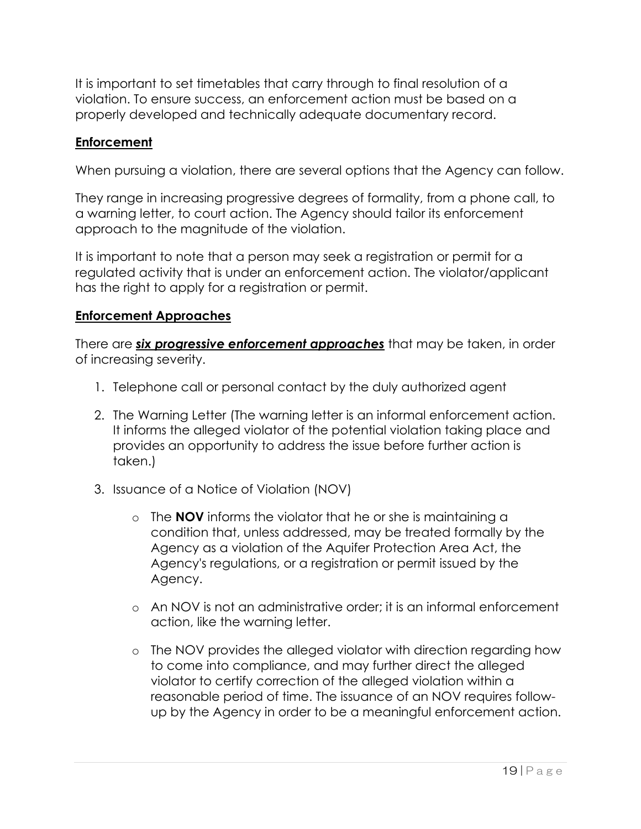It is important to set timetables that carry through to final resolution of a violation. To ensure success, an enforcement action must be based on a properly developed and technically adequate documentary record.

### **Enforcement**

When pursuing a violation, there are several options that the Agency can follow.

They range in increasing progressive degrees of formality, from a phone call, to a warning letter, to court action. The Agency should tailor its enforcement approach to the magnitude of the violation.

It is important to note that a person may seek a registration or permit for a regulated activity that is under an enforcement action. The violator/applicant has the right to apply for a registration or permit.

#### **Enforcement Approaches**

There are *six progressive enforcement approaches* that may be taken, in order of increasing severity.

- 1. Telephone call or personal contact by the duly authorized agent
- 2. The Warning Letter (The warning letter is an informal enforcement action. It informs the alleged violator of the potential violation taking place and provides an opportunity to address the issue before further action is taken.)
- 3. Issuance of a Notice of Violation (NOV)
	- o The **NOV** informs the violator that he or she is maintaining a condition that, unless addressed, may be treated formally by the Agency as a violation of the Aquifer Protection Area Act, the Agency's regulations, or a registration or permit issued by the Agency.
	- o An NOV is not an administrative order; it is an informal enforcement action, like the warning letter.
	- o The NOV provides the alleged violator with direction regarding how to come into compliance, and may further direct the alleged violator to certify correction of the alleged violation within a reasonable period of time. The issuance of an NOV requires followup by the Agency in order to be a meaningful enforcement action.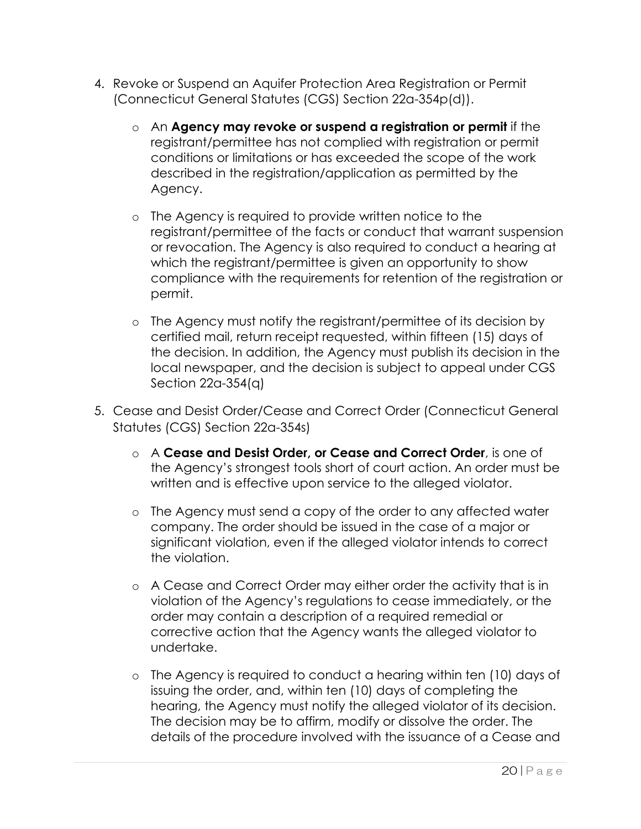- 4. Revoke or Suspend an Aquifer Protection Area Registration or Permit (Connecticut General Statutes (CGS) Section 22a-354p(d)).
	- o An **Agency may revoke or suspend a registration or permit** if the registrant/permittee has not complied with registration or permit conditions or limitations or has exceeded the scope of the work described in the registration/application as permitted by the Agency.
	- o The Agency is required to provide written notice to the registrant/permittee of the facts or conduct that warrant suspension or revocation. The Agency is also required to conduct a hearing at which the registrant/permittee is given an opportunity to show compliance with the requirements for retention of the registration or permit.
	- o The Agency must notify the registrant/permittee of its decision by certified mail, return receipt requested, within fifteen (15) days of the decision. In addition, the Agency must publish its decision in the local newspaper, and the decision is subject to appeal under CGS Section 22a-354(q)
- 5. Cease and Desist Order/Cease and Correct Order (Connecticut General Statutes (CGS) Section 22a-354s)
	- o A **Cease and Desist Order, or Cease and Correct Order**, is one of the Agency's strongest tools short of court action. An order must be written and is effective upon service to the alleged violator.
	- o The Agency must send a copy of the order to any affected water company. The order should be issued in the case of a major or significant violation, even if the alleged violator intends to correct the violation.
	- o A Cease and Correct Order may either order the activity that is in violation of the Agency's regulations to cease immediately, or the order may contain a description of a required remedial or corrective action that the Agency wants the alleged violator to undertake.
	- o The Agency is required to conduct a hearing within ten (10) days of issuing the order, and, within ten (10) days of completing the hearing, the Agency must notify the alleged violator of its decision. The decision may be to affirm, modify or dissolve the order. The details of the procedure involved with the issuance of a Cease and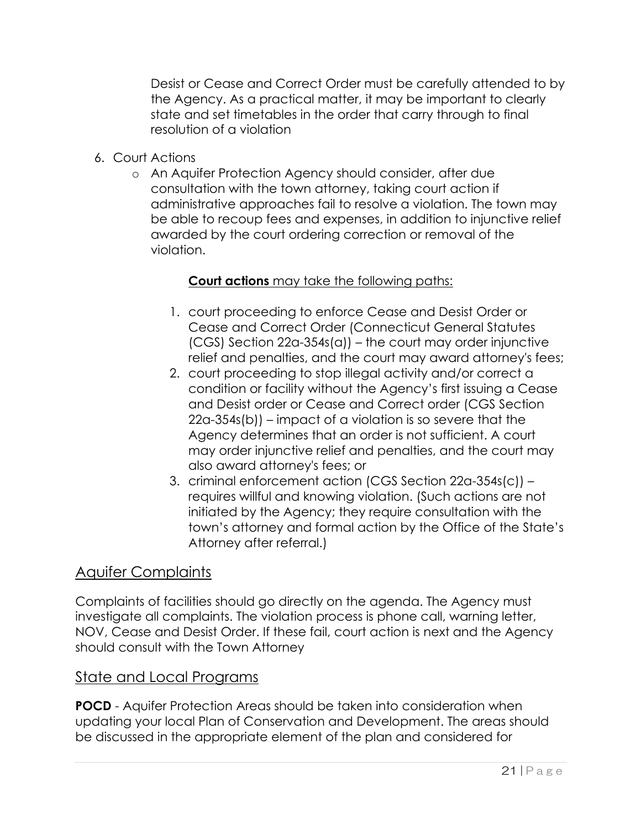Desist or Cease and Correct Order must be carefully attended to by the Agency. As a practical matter, it may be important to clearly state and set timetables in the order that carry through to final resolution of a violation

- 6. Court Actions
	- o An Aquifer Protection Agency should consider, after due consultation with the town attorney, taking court action if administrative approaches fail to resolve a violation. The town may be able to recoup fees and expenses, in addition to injunctive relief awarded by the court ordering correction or removal of the violation.

### **Court actions** may take the following paths:

- 1. court proceeding to enforce Cease and Desist Order or Cease and Correct Order (Connecticut General Statutes (CGS) Section 22a-354s(a)) – the court may order injunctive relief and penalties, and the court may award attorney's fees;
- 2. court proceeding to stop illegal activity and/or correct a condition or facility without the Agency's first issuing a Cease and Desist order or Cease and Correct order (CGS Section 22a-354s(b)) – impact of a violation is so severe that the Agency determines that an order is not sufficient. A court may order injunctive relief and penalties, and the court may also award attorney's fees; or
- 3. criminal enforcement action (CGS Section 22a-354s(c)) requires willful and knowing violation. (Such actions are not initiated by the Agency; they require consultation with the town's attorney and formal action by the Office of the State's Attorney after referral.)

# Aquifer Complaints

Complaints of facilities should go directly on the agenda. The Agency must investigate all complaints. The violation process is phone call, warning letter, NOV, Cease and Desist Order. If these fail, court action is next and the Agency should consult with the Town Attorney

### State and Local Programs

**POCD** - Aquifer Protection Areas should be taken into consideration when updating your local Plan of Conservation and Development. The areas should be discussed in the appropriate element of the plan and considered for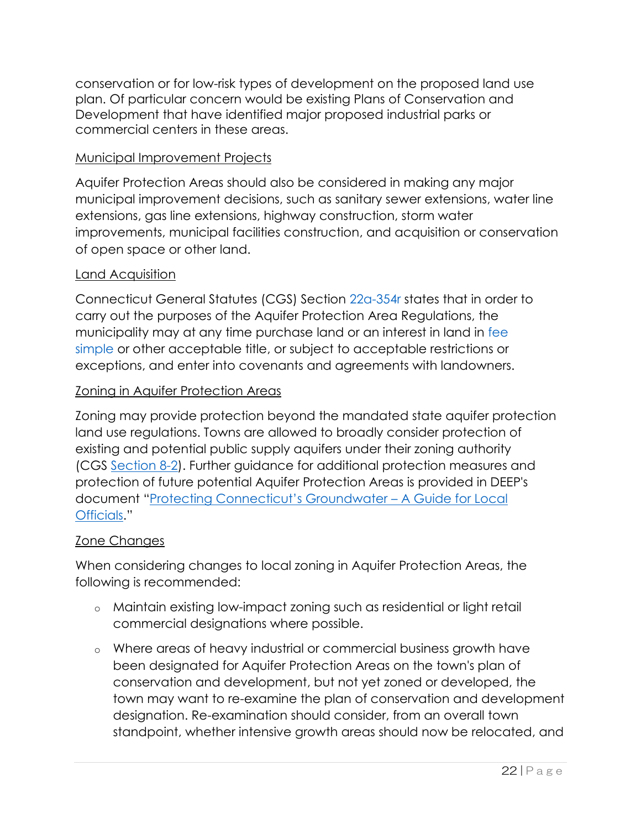conservation or for low-risk types of development on the proposed land use plan. Of particular concern would be existing Plans of Conservation and Development that have identified major proposed industrial parks or commercial centers in these areas.

### Municipal Improvement Projects

Aquifer Protection Areas should also be considered in making any major municipal improvement decisions, such as sanitary sewer extensions, water line extensions, gas line extensions, highway construction, storm water improvements, municipal facilities construction, and acquisition or conservation of open space or other land.

### Land Acquisition

Connecticut General Statutes (CGS) Section [22a-354r](javascript:var%20newWnd=ObjLayerActionGoToNewWindow() states that in order to carry out the purposes of the Aquifer Protection Area Regulations, the municipality may at any time purchase land or an interest in land in [fee](javascript:var%20newWnd=ObjLayerActionGoToNewWindow()  [simple](javascript:var%20newWnd=ObjLayerActionGoToNewWindow() or other acceptable title, or subject to acceptable restrictions or exceptions, and enter into covenants and agreements with landowners.

### Zoning in Aquifer Protection Areas

Zoning may provide protection beyond the mandated state aquifer protection land use regulations. Towns are allowed to broadly consider protection of existing and potential public supply aquifers under their zoning authority (CGS [Section 8-2\)](javascript:var%20newWnd=ObjLayerActionGoToNewWindow(). Further guidance for additional protection measures and protection of future potential Aquifer Protection Areas is provided in DEEP's document ["Protecting Connecticut's Groundwater –](javascript:var%20newWnd=ObjLayerActionGoToNewWindow() A Guide for Local [Officials](javascript:var%20newWnd=ObjLayerActionGoToNewWindow()."

### Zone Changes

When considering changes to local zoning in Aquifer Protection Areas, the following is recommended:

- o Maintain existing low-impact zoning such as residential or light retail commercial designations where possible.
- o Where areas of heavy industrial or commercial business growth have been designated for Aquifer Protection Areas on the town's plan of conservation and development, but not yet zoned or developed, the town may want to re-examine the plan of conservation and development designation. Re-examination should consider, from an overall town standpoint, whether intensive growth areas should now be relocated, and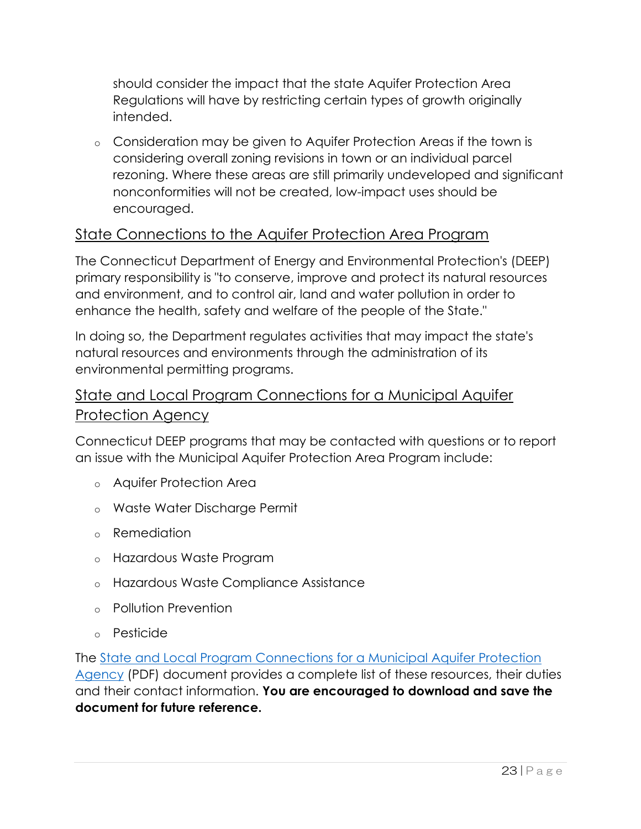should consider the impact that the state Aquifer Protection Area Regulations will have by restricting certain types of growth originally intended.

o Consideration may be given to Aquifer Protection Areas if the town is considering overall zoning revisions in town or an individual parcel rezoning. Where these areas are still primarily undeveloped and significant nonconformities will not be created, low-impact uses should be encouraged.

# State Connections to the Aquifer Protection Area Program

The Connecticut Department of Energy and Environmental Protection's (DEEP) primary responsibility is "to conserve, improve and protect its natural resources and environment, and to control air, land and water pollution in order to enhance the health, safety and welfare of the people of the State."

In doing so, the Department regulates activities that may impact the state's natural resources and environments through the administration of its environmental permitting programs.

# State and Local Program Connections for a Municipal Aquifer Protection Agency

Connecticut DEEP programs that may be contacted with questions or to report an issue with the Municipal Aquifer Protection Area Program include:

- o Aquifer Protection Area
- o Waste Water Discharge Permit
- o Remediation
- o Hazardous Waste Program
- o Hazardous Waste Compliance Assistance
- o Pollution Prevention
- o Pesticide

The [State and Local Program Connections for a Municipal Aquifer Protection](javascript:var%20newWnd=ObjLayerActionGoToNewWindow()  [Agency](javascript:var%20newWnd=ObjLayerActionGoToNewWindow() (PDF) document provides a complete list of these resources, their duties and their contact information. **You are encouraged to download and save the document for future reference.**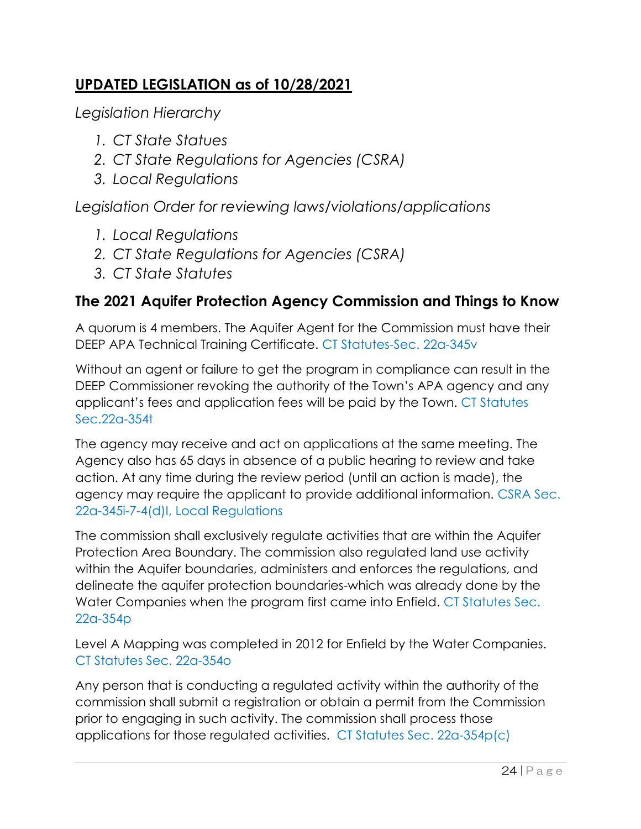# **UPDATED LEGISLATION as of 10/28/2021**

*Legislation Hierarchy* 

- *1. CT State Statues*
- *2. CT State Regulations for Agencies (CSRA)*
- *3. Local Regulations*

*Legislation Order for reviewing laws/violations/applications*

- *1. Local Regulations*
- *2. CT State Regulations for Agencies (CSRA)*
- *3. CT State Statutes*

# **The 2021 Aquifer Protection Agency Commission and Things to Know**

A quorum is 4 members. The Aquifer Agent for the Commission must have their DEEP APA Technical Training Certificate. CT Statutes-Sec. 22a-345v

Without an agent or failure to get the program in compliance can result in the DEEP Commissioner revoking the authority of the Town's APA agency and any applicant's fees and application fees will be paid by the Town. CT Statutes Sec.22a-354t

The agency may receive and act on applications at the same meeting. The Agency also has 65 days in absence of a public hearing to review and take action. At any time during the review period (until an action is made), the agency may require the applicant to provide additional information. CSRA Sec. 22a-345i-7-4(d)I, Local Regulations

The commission shall exclusively regulate activities that are within the Aquifer Protection Area Boundary. The commission also regulated land use activity within the Aquifer boundaries, administers and enforces the regulations, and delineate the aquifer protection boundaries-which was already done by the Water Companies when the program first came into Enfield. CT Statutes Sec. 22a-354p

Level A Mapping was completed in 2012 for Enfield by the Water Companies. CT Statutes Sec. 22a-354o

Any person that is conducting a regulated activity within the authority of the commission shall submit a registration or obtain a permit from the Commission prior to engaging in such activity. The commission shall process those applications for those regulated activities. CT Statutes Sec. 22a-354p(c)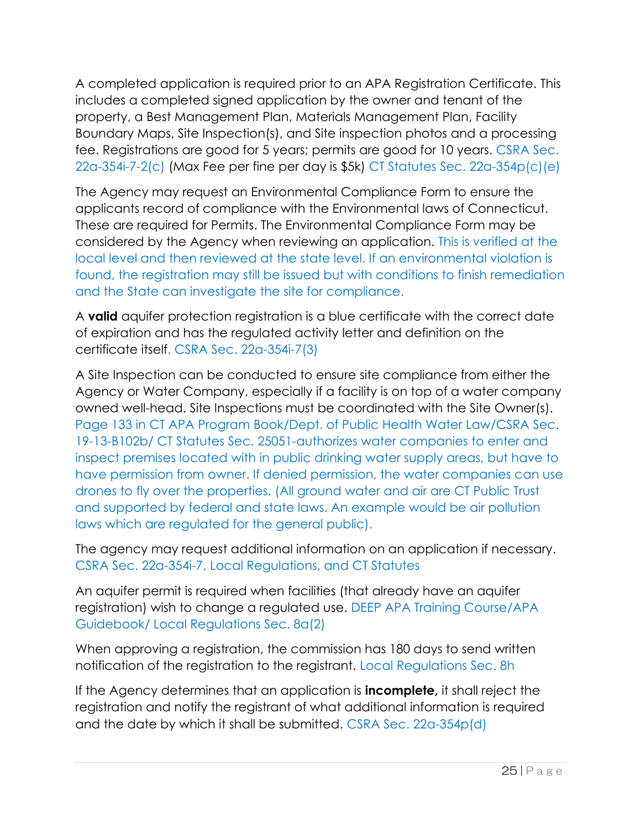A completed application is required prior to an APA Registration Certificate. This includes a completed signed application by the owner and tenant of the property, a Best Management Plan, Materials Management Plan, Facility Boundary Maps, Site Inspection(s), and Site inspection photos and a processing fee. Registrations are good for 5 years; permits are good for 10 years. CSRA Sec. 22a-354i-7-2(c) (Max Fee per fine per day is \$5k) CT Statutes Sec. 22a-354p(c)(e)

The Agency may request an Environmental Compliance Form to ensure the applicants record of compliance with the Environmental laws of Connecticut. These are required for Permits. The Environmental Compliance Form may be considered by the Agency when reviewing an application. This is verified at the local level and then reviewed at the state level. If an environmental violation is found, the registration may still be issued but with conditions to finish remediation and the State can investigate the site for compliance.

A **valid** aquifer protection registration is a blue certificate with the correct date of expiration and has the regulated activity letter and definition on the certificate itself. CSRA Sec. 22a-354i-7(3)

A Site Inspection can be conducted to ensure site compliance from either the Agency or Water Company, especially if a facility is on top of a water company owned well-head. Site Inspections must be coordinated with the Site Owner(s). Page 133 in CT APA Program Book/Dept. of Public Health Water Law/CSRA Sec. 19-13-B102b/ CT Statutes Sec. 25051-authorizes water companies to enter and inspect premises located with in public drinking water supply areas, but have to have permission from owner. If denied permission, the water companies can use drones to fly over the properties. (All ground water and air are CT Public Trust and supported by federal and state laws. An example would be air pollution laws which are regulated for the general public).

The agency may request additional information on an application if necessary. CSRA Sec. 22a-354i-7, Local Regulations, and CT Statutes

An aquifer permit is required when facilities (that already have an aquifer registration) wish to change a regulated use. DEEP APA Training Course/APA Guidebook/ Local Regulations Sec. 8a(2)

When approving a registration, the commission has 180 days to send written notification of the registration to the registrant. Local Regulations Sec. 8h

If the Agency determines that an application is **incomplete,** it shall reject the registration and notify the registrant of what additional information is required and the date by which it shall be submitted. CSRA Sec. 22a-354p(d)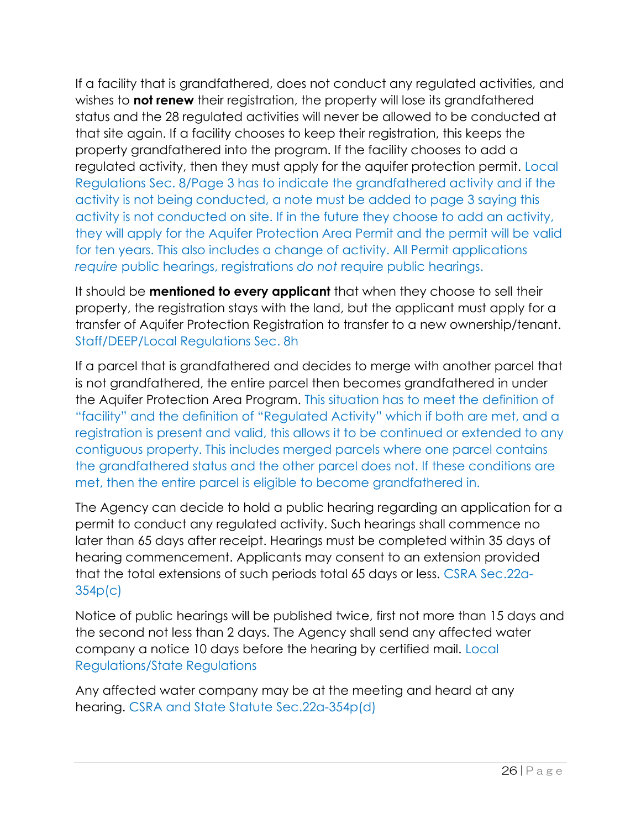If a facility that is grandfathered, does not conduct any regulated activities, and wishes to **not renew** their registration, the property will lose its grandfathered status and the 28 regulated activities will never be allowed to be conducted at that site again. If a facility chooses to keep their registration, this keeps the property grandfathered into the program. If the facility chooses to add a regulated activity, then they must apply for the aquifer protection permit. Local Regulations Sec. 8/Page 3 has to indicate the grandfathered activity and if the activity is not being conducted, a note must be added to page 3 saying this activity is not conducted on site. If in the future they choose to add an activity, they will apply for the Aquifer Protection Area Permit and the permit will be valid for ten years. This also includes a change of activity. All Permit applications *require* public hearings, registrations *do not* require public hearings.

It should be **mentioned to every applicant** that when they choose to sell their property, the registration stays with the land, but the applicant must apply for a transfer of Aquifer Protection Registration to transfer to a new ownership/tenant. Staff/DEEP/Local Regulations Sec. 8h

If a parcel that is grandfathered and decides to merge with another parcel that is not grandfathered, the entire parcel then becomes grandfathered in under the Aquifer Protection Area Program. This situation has to meet the definition of "facility" and the definition of "Regulated Activity" which if both are met, and a registration is present and valid, this allows it to be continued or extended to any contiguous property. This includes merged parcels where one parcel contains the grandfathered status and the other parcel does not. If these conditions are met, then the entire parcel is eligible to become grandfathered in.

The Agency can decide to hold a public hearing regarding an application for a permit to conduct any regulated activity. Such hearings shall commence no later than 65 days after receipt. Hearings must be completed within 35 days of hearing commencement. Applicants may consent to an extension provided that the total extensions of such periods total 65 days or less. CSRA Sec.22a-354p(c)

Notice of public hearings will be published twice, first not more than 15 days and the second not less than 2 days. The Agency shall send any affected water company a notice 10 days before the hearing by certified mail. Local Regulations/State Regulations

Any affected water company may be at the meeting and heard at any hearing. CSRA and State Statute Sec.22a-354p(d)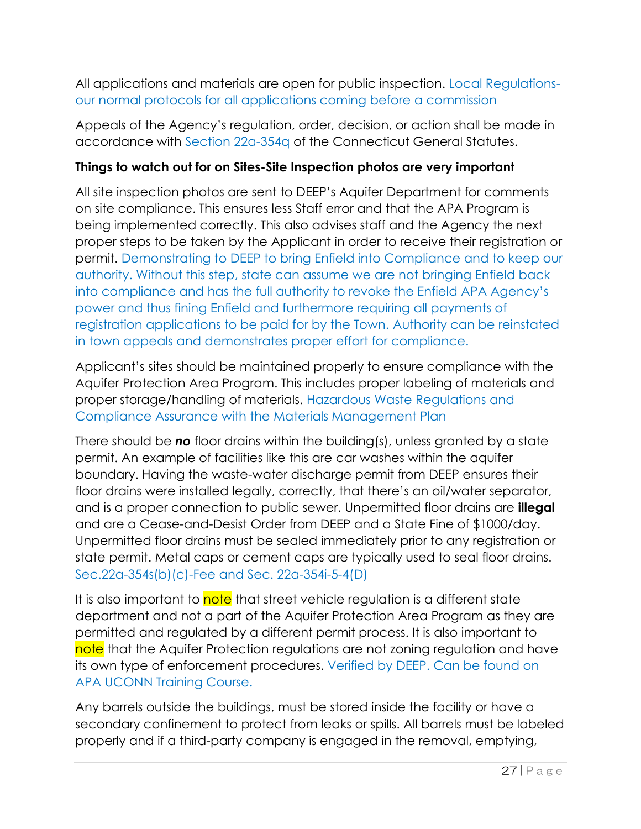All applications and materials are open for public inspection. Local Regulationsour normal protocols for all applications coming before a commission

Appeals of the Agency's regulation, order, decision, or action shall be made in accordance with Section 22a-354q of the Connecticut General Statutes.

### **Things to watch out for on Sites-Site Inspection photos are very important**

All site inspection photos are sent to DEEP's Aquifer Department for comments on site compliance. This ensures less Staff error and that the APA Program is being implemented correctly. This also advises staff and the Agency the next proper steps to be taken by the Applicant in order to receive their registration or permit. Demonstrating to DEEP to bring Enfield into Compliance and to keep our authority. Without this step, state can assume we are not bringing Enfield back into compliance and has the full authority to revoke the Enfield APA Agency's power and thus fining Enfield and furthermore requiring all payments of registration applications to be paid for by the Town. Authority can be reinstated in town appeals and demonstrates proper effort for compliance.

Applicant's sites should be maintained properly to ensure compliance with the Aquifer Protection Area Program. This includes proper labeling of materials and proper storage/handling of materials. Hazardous Waste Regulations and Compliance Assurance with the Materials Management Plan

There should be *no* floor drains within the building(s), unless granted by a state permit. An example of facilities like this are car washes within the aquifer boundary. Having the waste-water discharge permit from DEEP ensures their floor drains were installed legally, correctly, that there's an oil/water separator, and is a proper connection to public sewer. Unpermitted floor drains are **illegal** and are a Cease-and-Desist Order from DEEP and a State Fine of \$1000/day. Unpermitted floor drains must be sealed immediately prior to any registration or state permit. Metal caps or cement caps are typically used to seal floor drains. Sec.22a-354s(b)(c)-Fee and Sec. 22a-354i-5-4(D)

It is also important to note that street vehicle regulation is a different state department and not a part of the Aquifer Protection Area Program as they are permitted and regulated by a different permit process. It is also important to note that the Aquifer Protection regulations are not zoning regulation and have its own type of enforcement procedures. Verified by DEEP. Can be found on APA UCONN Training Course.

Any barrels outside the buildings, must be stored inside the facility or have a secondary confinement to protect from leaks or spills. All barrels must be labeled properly and if a third-party company is engaged in the removal, emptying,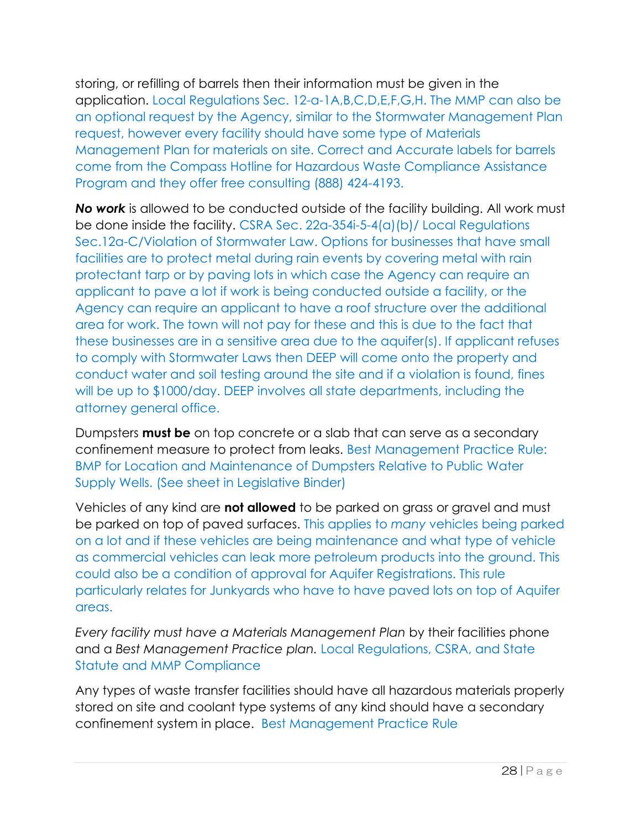storing, or refilling of barrels then their information must be given in the application. Local Regulations Sec. 12-a-1A,B,C,D,E,F,G,H. The MMP can also be an optional request by the Agency, similar to the Stormwater Management Plan request, however every facility should have some type of Materials Management Plan for materials on site. Correct and Accurate labels for barrels come from the Compass Hotline for Hazardous Waste Compliance Assistance Program and they offer free consulting (888) 424-4193.

*No work* is allowed to be conducted outside of the facility building. All work must be done inside the facility. CSRA Sec. 22a-354i-5-4(a)(b)/ Local Regulations Sec.12a-C/Violation of Stormwater Law. Options for businesses that have small facilities are to protect metal during rain events by covering metal with rain protectant tarp or by paving lots in which case the Agency can require an applicant to pave a lot if work is being conducted outside a facility, or the Agency can require an applicant to have a roof structure over the additional area for work. The town will not pay for these and this is due to the fact that these businesses are in a sensitive area due to the aquifer(s). If applicant refuses to comply with Stormwater Laws then DEEP will come onto the property and conduct water and soil testing around the site and if a violation is found, fines will be up to \$1000/day. DEEP involves all state departments, including the attorney general office.

Dumpsters **must be** on top concrete or a slab that can serve as a secondary confinement measure to protect from leaks. Best Management Practice Rule: BMP for Location and Maintenance of Dumpsters Relative to Public Water Supply Wells. (See sheet in Legislative Binder)

Vehicles of any kind are **not allowed** to be parked on grass or gravel and must be parked on top of paved surfaces. This applies to *many* vehicles being parked on a lot and if these vehicles are being maintenance and what type of vehicle as commercial vehicles can leak more petroleum products into the ground. This could also be a condition of approval for Aquifer Registrations. This rule particularly relates for Junkyards who have to have paved lots on top of Aquifer areas.

*Every facility must have a Materials Management Plan* by their facilities phone and a *Best Management Practice plan.* Local Regulations, CSRA, and State Statute and MMP Compliance

Any types of waste transfer facilities should have all hazardous materials properly stored on site and coolant type systems of any kind should have a secondary confinement system in place. Best Management Practice Rule